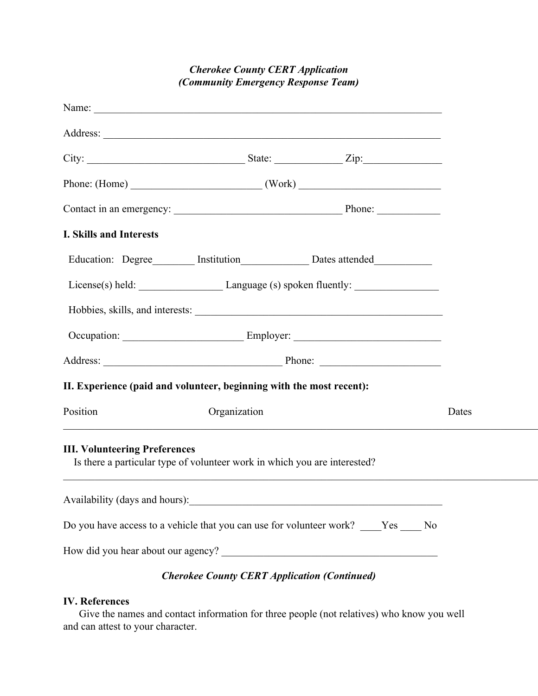## *Cherokee County CERT Application (Community Emergency Response Team)*

| Name:                                     |                                                                                      |                                                                                                                       |
|-------------------------------------------|--------------------------------------------------------------------------------------|-----------------------------------------------------------------------------------------------------------------------|
| Address:                                  |                                                                                      |                                                                                                                       |
| $\mathrm{City:}$                          | $_$ State:<br>$\angle$ ip:                                                           |                                                                                                                       |
| Phone: (Home)                             | (Work)                                                                               |                                                                                                                       |
|                                           |                                                                                      |                                                                                                                       |
| Contact in an emergency:                  | Phone:                                                                               |                                                                                                                       |
| I. Skills and Interests                   |                                                                                      |                                                                                                                       |
| Education: Degree                         | _Dates attended_<br>Institution                                                      | <u> The Common Section of the Common Section of the Common Section of the Common Section of the Common Section of</u> |
| License(s) held: $\overline{\phantom{a}}$ | Language (s) spoken fluently:                                                        |                                                                                                                       |
| Hobbies, skills, and interests:           |                                                                                      |                                                                                                                       |
|                                           |                                                                                      |                                                                                                                       |
| Occupation:                               | Employer:                                                                            |                                                                                                                       |
| Address:                                  | Phone:                                                                               |                                                                                                                       |
|                                           | II. Experience (paid and volunteer, beginning with the most recent):                 |                                                                                                                       |
| Position                                  | Organization                                                                         | Dates                                                                                                                 |
|                                           |                                                                                      |                                                                                                                       |
| <b>III. Volunteering Preferences</b>      |                                                                                      |                                                                                                                       |
|                                           | Is there a particular type of volunteer work in which you are interested?            |                                                                                                                       |
| Availability (days and hours):            |                                                                                      |                                                                                                                       |
|                                           | Do you have access to a vehicle that you can use for volunteer work? ____Yes ____ No |                                                                                                                       |
|                                           |                                                                                      |                                                                                                                       |
| How did you hear about our agency?        |                                                                                      |                                                                                                                       |
|                                           | <b>Cherokee County CERT Application (Continued)</b>                                  |                                                                                                                       |

## **IV. References**

Give the names and contact information for three people (not relatives) who know you well and can attest to your character.